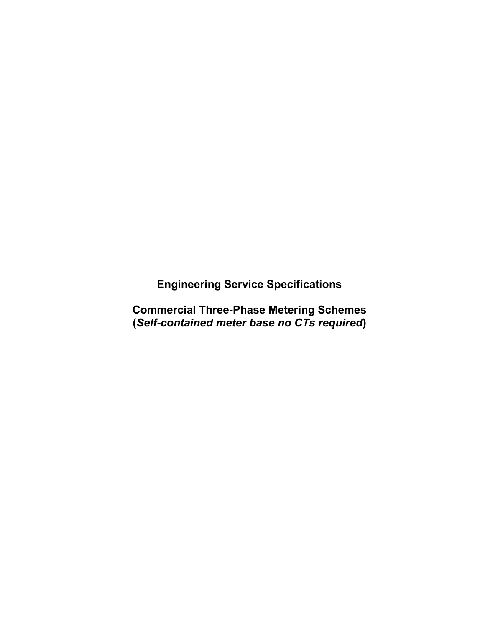**Engineering Service Specifications**

**Commercial Three-Phase Metering Schemes (***Self-contained meter base no CTs required***)**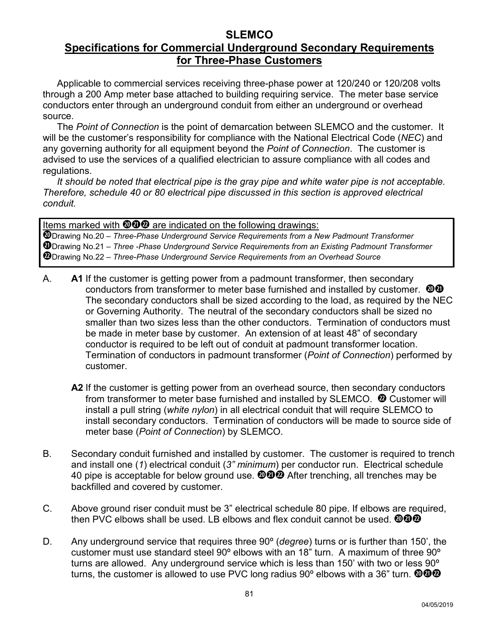## **SLEMCO Specifications for Commercial Underground Secondary Requirements for Three-Phase Customers**

Applicable to commercial services receiving three-phase power at 120/240 or 120/208 volts through a 200 Amp meter base attached to building requiring service. The meter base service conductors enter through an underground conduit from either an underground or overhead source.

The *Point of Connection* is the point of demarcation between SLEMCO and the customer. It will be the customer's responsibility for compliance with the National Electrical Code (*NEC*) and any governing authority for all equipment beyond the *Point of Connection*. The customer is advised to use the services of a qualified electrician to assure compliance with all codes and regulations.

*It should be noted that electrical pipe is the gray pipe and white water pipe is not acceptable. Therefore, schedule 40 or 80 electrical pipe discussed in this section is approved electrical conduit.*

Items marked with  $\mathbf{000}$  are indicated on the following drawings: Drawing No.20 – *Three-Phase Underground Service Requirements from a New Padmount Transformer* Drawing No.21 – *Three -Phase Underground Service Requirements from an Existing Padmount Transformer* Drawing No.22 – *Three-Phase Underground Service Requirements from an Overhead Source*

- A. **A1** If the customer is getting power from a padmount transformer, then secondary conductors from transformer to meter base furnished and installed by customer.  $\mathbf{\odot} \mathbf{\odot}$ The secondary conductors shall be sized according to the load, as required by the NEC or Governing Authority. The neutral of the secondary conductors shall be sized no smaller than two sizes less than the other conductors. Termination of conductors must be made in meter base by customer. An extension of at least 48" of secondary conductor is required to be left out of conduit at padmount transformer location. Termination of conductors in padmount transformer (*Point of Connection*) performed by customer.
	- A2 If the customer is getting power from an overhead source, then secondary conductors from transformer to meter base furnished and installed by SLEMCO.  $\bm{\mathcal{D}}$  Customer will install a pull string (*white nylon*) in all electrical conduit that will require SLEMCO to install secondary conductors. Termination of conductors will be made to source side of meter base (*Point of Connection*) by SLEMCO.
- B. Secondary conduit furnished and installed by customer. The customer is required to trench and install one (*1*) electrical conduit (*3" minimum*) per conductor run. Electrical schedule 40 pipe is acceptable for below ground use.  $\mathbf{000}$  After trenching, all trenches may be backfilled and covered by customer.
- C. Above ground riser conduit must be 3" electrical schedule 80 pipe. If elbows are required, then PVC elbows shall be used. LB elbows and flex conduit cannot be used.  $@@@$
- D. Any underground service that requires three 90º (*degree*) turns or is further than 150', the customer must use standard steel 90º elbows with an 18" turn. A maximum of three 90º turns are allowed. Any underground service which is less than 150' with two or less 90<sup>o</sup> turns, the customer is allowed to use PVC long radius 90° elbows with a 36" turn.  $\mathbf{\circ} \mathbf{\circ} \mathbf{\circ}$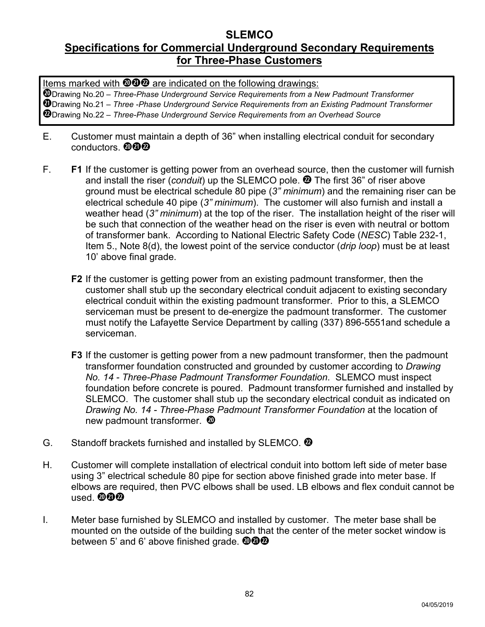## **SLEMCO Specifications for Commercial Underground Secondary Requirements for Three-Phase Customers**

Items marked with  $\mathbf{000}$  are indicated on the following drawings:

Drawing No.20 – *Three-Phase Underground Service Requirements from a New Padmount Transformer* Drawing No.21 – *Three -Phase Underground Service Requirements from an Existing Padmount Transformer* Drawing No.22 – *Three-Phase Underground Service Requirements from an Overhead Source*

- E. Customer must maintain a depth of 36" when installing electrical conduit for secondary conductors.  $\mathbf{\mathbf{\Phi}}\mathbf{\mathbf{\Phi}}$
- F. **F1** If the customer is getting power from an overhead source, then the customer will furnish and install the riser (*conduit*) up the SLEMCO pole. <sup>1</sup> The first 36" of riser above ground must be electrical schedule 80 pipe (*3" minimum*) and the remaining riser can be electrical schedule 40 pipe (*3" minimum*). The customer will also furnish and install a weather head (*3" minimum*) at the top of the riser. The installation height of the riser will be such that connection of the weather head on the riser is even with neutral or bottom of transformer bank. According to National Electric Safety Code (*NESC*) Table 232-1, Item 5., Note 8(d), the lowest point of the service conductor (*drip loop*) must be at least 10' above final grade.
	- **F2** If the customer is getting power from an existing padmount transformer, then the customer shall stub up the secondary electrical conduit adjacent to existing secondary electrical conduit within the existing padmount transformer. Prior to this, a SLEMCO serviceman must be present to de-energize the padmount transformer. The customer must notify the Lafayette Service Department by calling (337) 896-5551and schedule a serviceman.
	- **F3** If the customer is getting power from a new padmount transformer, then the padmount transformer foundation constructed and grounded by customer according to *Drawing No. 14 - Three-Phase Padmount Transformer Foundation*. SLEMCO must inspect foundation before concrete is poured. Padmount transformer furnished and installed by SLEMCO. The customer shall stub up the secondary electrical conduit as indicated on *Drawing No. 14 - Three-Phase Padmount Transformer Foundation* at the location of new padmount transformer.
- G. Standoff brackets furnished and installed by SLEMCO.  $\ddot{\mathbf{Q}}$
- H. Customer will complete installation of electrical conduit into bottom left side of meter base using 3" electrical schedule 80 pipe for section above finished grade into meter base. If elbows are required, then PVC elbows shall be used. LB elbows and flex conduit cannot be used. @@@
- I. Meter base furnished by SLEMCO and installed by customer. The meter base shall be mounted on the outside of the building such that the center of the meter socket window is between 5' and 6' above finished grade.  $\mathbf{\textcircled{Q}\textcircled{Q}}$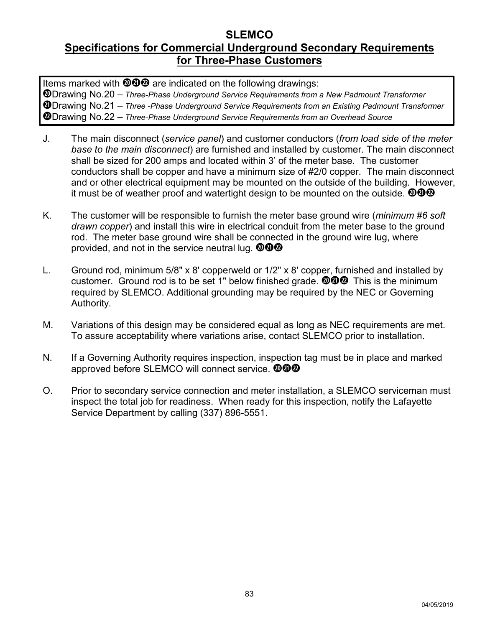## **SLEMCO Specifications for Commercial Underground Secondary Requirements for Three-Phase Customers**

Items marked with  $\mathbf{000}$  are indicated on the following drawings:

Drawing No.20 – *Three-Phase Underground Service Requirements from a New Padmount Transformer* Drawing No.21 – *Three -Phase Underground Service Requirements from an Existing Padmount Transformer* Drawing No.22 – *Three-Phase Underground Service Requirements from an Overhead Source*

- J. The main disconnect (*service panel*) and customer conductors (*from load side of the meter base to the main disconnect*) are furnished and installed by customer. The main disconnect shall be sized for 200 amps and located within 3' of the meter base. The customer conductors shall be copper and have a minimum size of #2/0 copper. The main disconnect and or other electrical equipment may be mounted on the outside of the building. However, it must be of weather proof and watertight design to be mounted on the outside.  $\mathbf{\textcircled{9}\textcircled{9}}$
- K. The customer will be responsible to furnish the meter base ground wire (*minimum #6 soft drawn copper*) and install this wire in electrical conduit from the meter base to the ground rod. The meter base ground wire shall be connected in the ground wire lug, where provided, and not in the service neutral lug.  $\mathbf{\textcircled{Q}\textcircled{Q}}$
- L. Ground rod, minimum 5/8" x 8' copperweld or 1/2" x 8' copper, furnished and installed by customer. Ground rod is to be set 1" below finished grade. *DDD* This is the minimum required by SLEMCO. Additional grounding may be required by the NEC or Governing Authority*.*
- M. Variations of this design may be considered equal as long as NEC requirements are met. To assure acceptability where variations arise, contact SLEMCO prior to installation.
- N. If a Governing Authority requires inspection, inspection tag must be in place and marked approved before SLEMCO will connect service.  $\mathbf{\textcircled{Q}\textcircled{Q}}$
- O. Prior to secondary service connection and meter installation, a SLEMCO serviceman must inspect the total job for readiness. When ready for this inspection, notify the Lafayette Service Department by calling (337) 896-5551.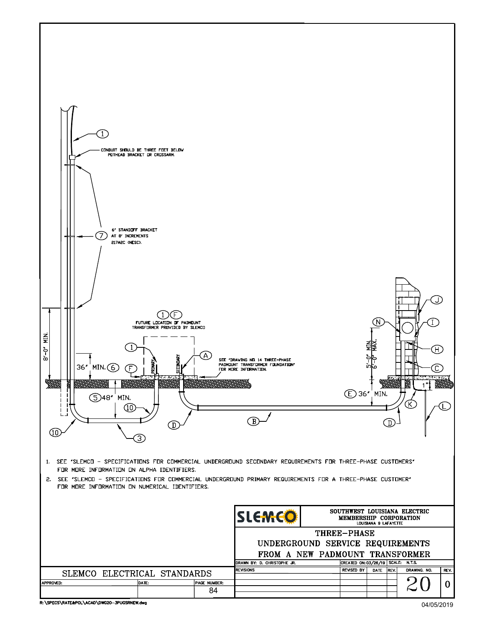R: \SPECS\RATE&POL\ACAD\DWG20-3PUGSRNEW.dwg

04/05/2019

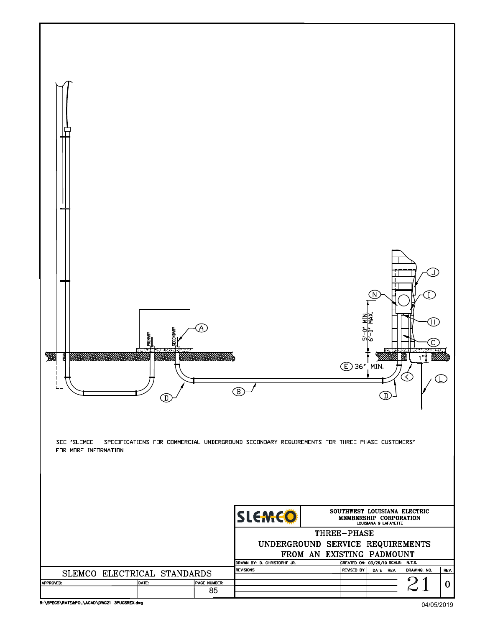

R: \SPECS\RATE&POL\ACAD\DWG21-3PUGSREX.dwg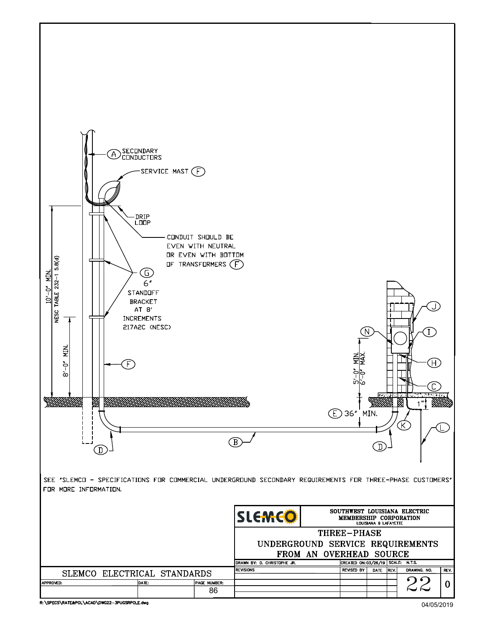

R: \SPECS\RATE&POL\ACAD\DWG22-3PUGSRPOLE.dwg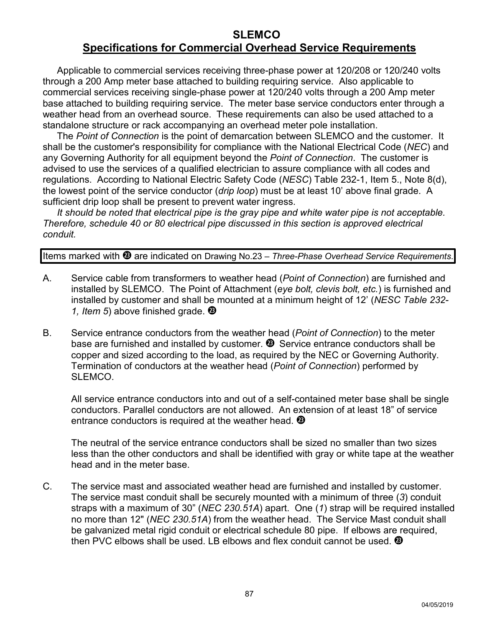# **SLEMCO Specifications for Commercial Overhead Service Requirements**

Applicable to commercial services receiving three-phase power at 120/208 or 120/240 volts through a 200 Amp meter base attached to building requiring service. Also applicable to commercial services receiving single-phase power at 120/240 volts through a 200 Amp meter base attached to building requiring service. The meter base service conductors enter through a weather head from an overhead source. These requirements can also be used attached to a standalone structure or rack accompanying an overhead meter pole installation.

The *Point of Connection* is the point of demarcation between SLEMCO and the customer. It shall be the customer's responsibility for compliance with the National Electrical Code (*NEC*) and any Governing Authority for all equipment beyond the *Point of Connection*. The customer is advised to use the services of a qualified electrician to assure compliance with all codes and regulations. According to National Electric Safety Code (*NESC*) Table 232-1, Item 5., Note 8(d), the lowest point of the service conductor (*drip loop*) must be at least 10' above final grade. A sufficient drip loop shall be present to prevent water ingress.

*It should be noted that electrical pipe is the gray pipe and white water pipe is not acceptable. Therefore, schedule 40 or 80 electrical pipe discussed in this section is approved electrical conduit.*

Items marked with <sup>3</sup> are indicated on Drawing No.23 – *Three-Phase Overhead Service Requirements*.

- A. Service cable from transformers to weather head (*Point of Connection*) are furnished and installed by SLEMCO. The Point of Attachment (*eye bolt, clevis bolt, etc.*) is furnished and installed by customer and shall be mounted at a minimum height of 12' (*NESC Table 232- 1, Item 5*) above finished grade.
- B. Service entrance conductors from the weather head (*Point of Connection*) to the meter base are furnished and installed by customer. <sup>3</sup> Service entrance conductors shall be copper and sized according to the load, as required by the NEC or Governing Authority. Termination of conductors at the weather head (*Point of Connection*) performed by SI FMCO.

All service entrance conductors into and out of a self-contained meter base shall be single conductors. Parallel conductors are not allowed. An extension of at least 18" of service entrance conductors is required at the weather head.  $\bullet$ 

The neutral of the service entrance conductors shall be sized no smaller than two sizes less than the other conductors and shall be identified with gray or white tape at the weather head and in the meter base.

C. The service mast and associated weather head are furnished and installed by customer. The service mast conduit shall be securely mounted with a minimum of three (*3*) conduit straps with a maximum of 30" (*NEC 230.51A*) apart. One (*1*) strap will be required installed no more than 12" (*NEC 230.51A*) from the weather head. The Service Mast conduit shall be galvanized metal rigid conduit or electrical schedule 80 pipe. If elbows are required, then PVC elbows shall be used. LB elbows and flex conduit cannot be used.  $\circledA$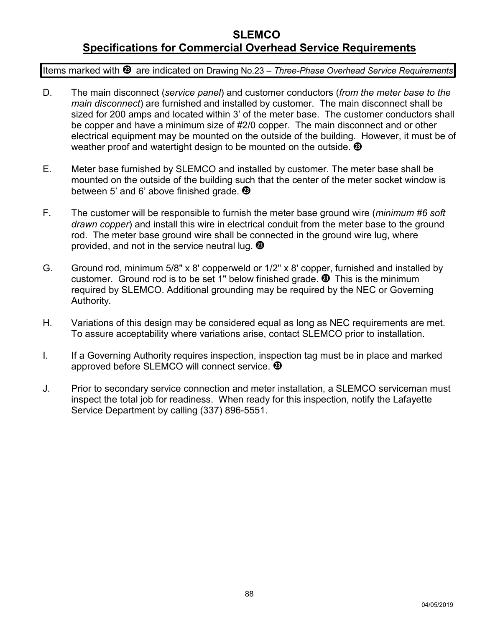# **SLEMCO Specifications for Commercial Overhead Service Requirements**

Items marked with <sup>3</sup> are indicated on Drawing No.23 – Three-Phase Overhead Service Requirements.

- D. The main disconnect (*service panel*) and customer conductors (*from the meter base to the main disconnect*) are furnished and installed by customer. The main disconnect shall be sized for 200 amps and located within 3' of the meter base. The customer conductors shall be copper and have a minimum size of #2/0 copper. The main disconnect and or other electrical equipment may be mounted on the outside of the building. However, it must be of weather proof and watertight design to be mounted on the outside.  $\bullet$
- E. Meter base furnished by SLEMCO and installed by customer. The meter base shall be mounted on the outside of the building such that the center of the meter socket window is between 5' and 6' above finished grade. <sup>49</sup>
- F. The customer will be responsible to furnish the meter base ground wire (*minimum #6 soft drawn copper*) and install this wire in electrical conduit from the meter base to the ground rod. The meter base ground wire shall be connected in the ground wire lug, where provided, and not in the service neutral lug.  $\bullet$
- G. Ground rod, minimum 5/8" x 8' copperweld or 1/2" x 8' copper, furnished and installed by customer. Ground rod is to be set 1" below finished grade. This is the minimum required by SLEMCO. Additional grounding may be required by the NEC or Governing Authority*.*
- H. Variations of this design may be considered equal as long as NEC requirements are met. To assure acceptability where variations arise, contact SLEMCO prior to installation.
- I. If a Governing Authority requires inspection, inspection tag must be in place and marked approved before SLEMCO will connect service. <sup>®</sup>
- J. Prior to secondary service connection and meter installation, a SLEMCO serviceman must inspect the total job for readiness. When ready for this inspection, notify the Lafayette Service Department by calling (337) 896-5551.